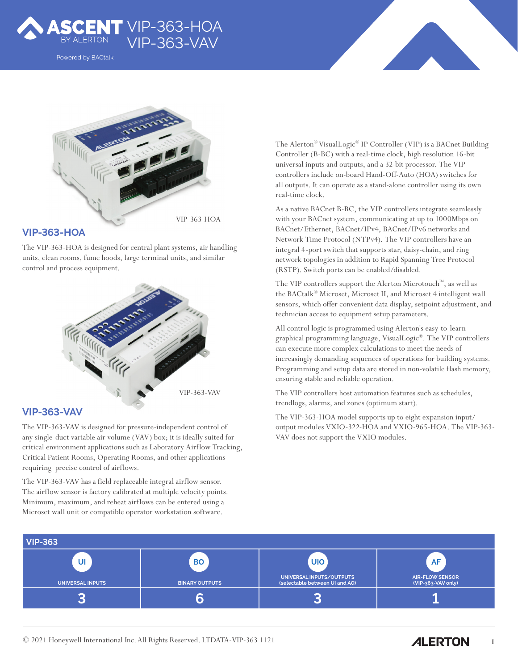

Powered by BACtalk



#### **VIP-363-HOA**

The VIP-363-HOA is designed for central plant systems, air handling units, clean rooms, fume hoods, large terminal units, and similar control and process equipment.



### **VIP-363-VAV**

The VIP-363-VAV is designed for pressure-independent control of any single-duct variable air volume (VAV) box; it is ideally suited for critical environment applications such as Laboratory Airflow Tracking, Critical Patient Rooms, Operating Rooms, and other applications requiring precise control of airflows.

The VIP-363-VAV has a field replaceable integral airflow sensor. The airflow sensor is factory calibrated at multiple velocity points. Minimum, maximum, and reheat airflows can be entered using a Microset wall unit or compatible operator workstation software.

The Alerton® VisualLogic® IP Controller (VIP) is a BACnet Building Controller (B-BC) with a real-time clock, high resolution 16-bit universal inputs and outputs, and a 32-bit processor. The VIP controllers include on-board Hand-Off-Auto (HOA) switches for all outputs. It can operate as a stand-alone controller using its own real-time clock.

As a native BACnet B-BC, the VIP controllers integrate seamlessly with your BACnet system, communicating at up to 1000Mbps on BACnet/Ethernet, BACnet/IPv4, BACnet/IPv6 networks and Network Time Protocol (NTPv4). The VIP controllers have an integral 4-port switch that supports star, daisy-chain, and ring network topologies in addition to Rapid Spanning Tree Protocol (RSTP). Switch ports can be enabled/disabled.

The VIP controllers support the Alerton Microtouch™, as well as the BACtalk® Microset, Microset II, and Microset 4 intelligent wall sensors, which offer convenient data display, setpoint adjustment, and technician access to equipment setup parameters.

All control logic is programmed using Alerton's easy-to-learn graphical programming language, VisualLogic®. The VIP controllers can execute more complex calculations to meet the needs of increasingly demanding sequences of operations for building systems. Programming and setup data are stored in non-volatile flash memory, ensuring stable and reliable operation.

The VIP controllers host automation features such as schedules, trendlogs, alarms, and zones (optimum start).

The VIP-363-HOA model supports up to eight expansion input/ output modules VXIO-322-HOA and VXIO-965-HOA. The VIP-363- VAV does not support the VXIO modules.